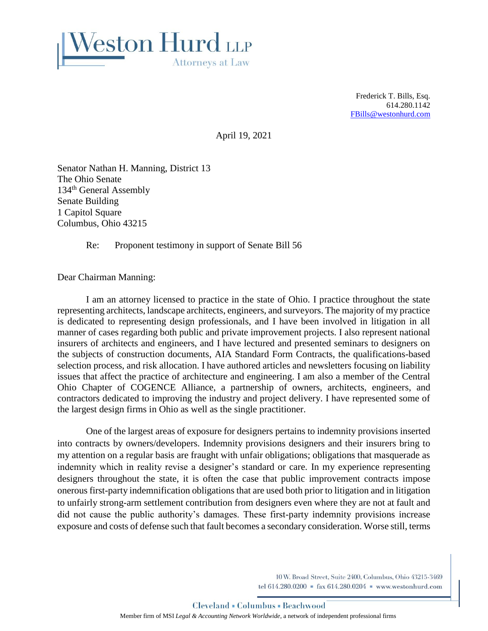

Frederick T. Bills, Esq. 614.280.1142 FBill[s@westonhurd.com](mailto:JBerns@westonhurd.com)

April 19, 2021

Senator Nathan H. Manning, District 13 The Ohio Senate 134<sup>th</sup> General Assembly Senate Building 1 Capitol Square Columbus, Ohio 43215

Re: Proponent testimony in support of Senate Bill 56

Dear Chairman Manning:

I am an attorney licensed to practice in the state of Ohio. I practice throughout the state representing architects, landscape architects, engineers, and surveyors. The majority of my practice is dedicated to representing design professionals, and I have been involved in litigation in all manner of cases regarding both public and private improvement projects. I also represent national insurers of architects and engineers, and I have lectured and presented seminars to designers on the subjects of construction documents, AIA Standard Form Contracts, the qualifications-based selection process, and risk allocation. I have authored articles and newsletters focusing on liability issues that affect the practice of architecture and engineering. I am also a member of the Central Ohio Chapter of COGENCE Alliance, a partnership of owners, architects, engineers, and contractors dedicated to improving the industry and project delivery. I have represented some of the largest design firms in Ohio as well as the single practitioner.

One of the largest areas of exposure for designers pertains to indemnity provisions inserted into contracts by owners/developers. Indemnity provisions designers and their insurers bring to my attention on a regular basis are fraught with unfair obligations; obligations that masquerade as indemnity which in reality revise a designer's standard or care. In my experience representing designers throughout the state, it is often the case that public improvement contracts impose onerous first-party indemnification obligations that are used both prior to litigation and in litigation to unfairly strong-arm settlement contribution from designers even where they are not at fault and did not cause the public authority's damages. These first-party indemnity provisions increase exposure and costs of defense such that fault becomes a secondary consideration. Worse still, terms

> 10 W. Broad Street, Suite 2400, Columbus, Ohio 43215-3469 tel 614.280.0200 = fax 614.280.0204 = www.westonhurd.com